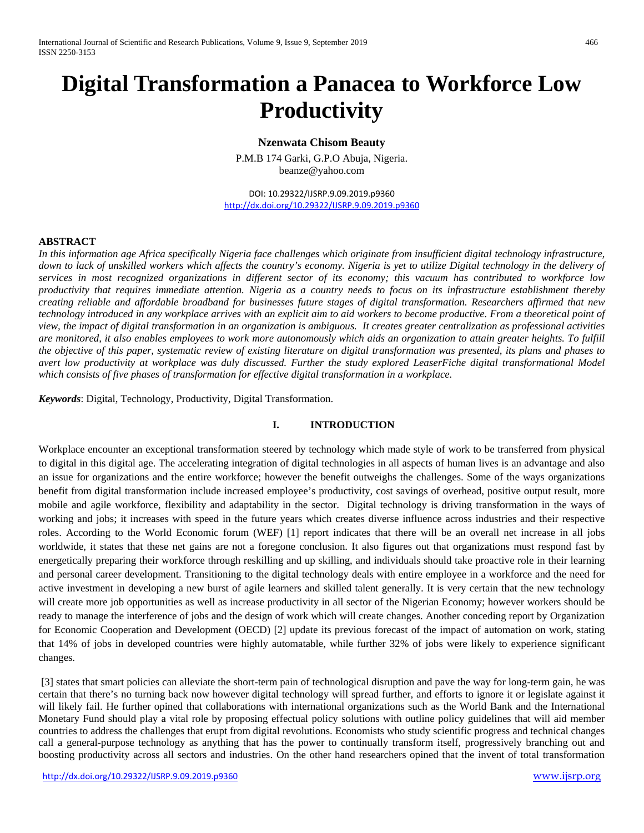# **Digital Transformation a Panacea to Workforce Low Productivity**

**Nzenwata Chisom Beauty**

P.M.B 174 Garki, G.P.O Abuja, Nigeria. beanze@yahoo.com

DOI: 10.29322/IJSRP.9.09.2019.p9360 <http://dx.doi.org/10.29322/IJSRP.9.09.2019.p9360>

# **ABSTRACT**

*In this information age Africa specifically Nigeria face challenges which originate from insufficient digital technology infrastructure, down to lack of unskilled workers which affects the country's economy. Nigeria is yet to utilize Digital technology in the delivery of services in most recognized organizations in different sector of its economy; this vacuum has contributed to workforce low productivity that requires immediate attention. Nigeria as a country needs to focus on its infrastructure establishment thereby creating reliable and affordable broadband for businesses future stages of digital transformation. Researchers affirmed that new technology introduced in any workplace arrives with an explicit aim to aid workers to become productive. From a theoretical point of view, the impact of digital transformation in an organization is ambiguous. It creates greater centralization as professional activities are monitored, it also enables employees to work more autonomously which aids an organization to attain greater heights. To fulfill the objective of this paper, systematic review of existing literature on digital transformation was presented, its plans and phases to avert low productivity at workplace was duly discussed. Further the study explored LeaserFiche digital transformational Model which consists of five phases of transformation for effective digital transformation in a workplace.*

*Keywords*: Digital, Technology, Productivity, Digital Transformation.

# **I. INTRODUCTION**

Workplace encounter an exceptional transformation steered by technology which made style of work to be transferred from physical to digital in this digital age. The accelerating integration of digital technologies in all aspects of human lives is an advantage and also an issue for organizations and the entire workforce; however the benefit outweighs the challenges. Some of the ways organizations benefit from digital transformation include increased employee's productivity, cost savings of overhead, positive output result, more mobile and agile workforce, flexibility and adaptability in the sector. Digital technology is driving transformation in the ways of working and jobs; it increases with speed in the future years which creates diverse influence across industries and their respective roles. According to the World Economic forum (WEF) [1] report indicates that there will be an overall net increase in all jobs worldwide, it states that these net gains are not a foregone conclusion. It also figures out that organizations must respond fast by energetically preparing their workforce through reskilling and up skilling, and individuals should take proactive role in their learning and personal career development. Transitioning to the digital technology deals with entire employee in a workforce and the need for active investment in developing a new burst of agile learners and skilled talent generally. It is very certain that the new technology will create more job opportunities as well as increase productivity in all sector of the Nigerian Economy; however workers should be ready to manage the interference of jobs and the design of work which will create changes. Another conceding report by Organization for Economic Cooperation and Development (OECD) [2] update its previous forecast of the impact of automation on work, stating that 14% of jobs in developed countries were highly automatable, while further 32% of jobs were likely to experience significant changes.

[3] states that smart policies can alleviate the short-term pain of technological disruption and pave the way for long-term gain, he was certain that there's no turning back now however digital technology will spread further, and efforts to ignore it or legislate against it will likely fail. He further opined that collaborations with international organizations such as the World Bank and the International Monetary Fund should play a vital role by proposing effectual policy solutions with outline policy guidelines that will aid member countries to address the challenges that erupt from digital revolutions. Economists who study scientific progress and technical changes call a general-purpose technology as anything that has the power to continually transform itself, progressively branching out and boosting productivity across all sectors and industries. On the other hand researchers opined that the invent of total transformation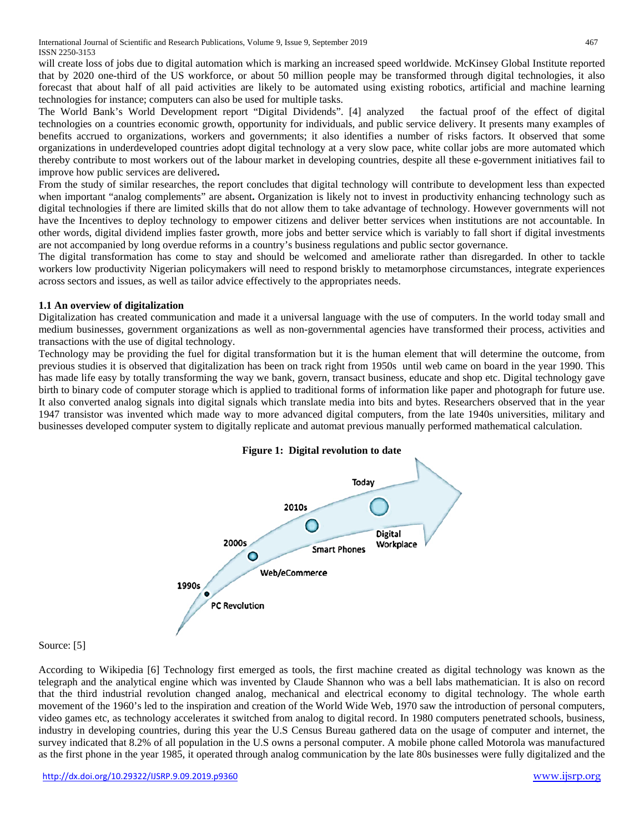will create loss of jobs due to digital automation which is marking an increased speed worldwide. McKinsey Global Institute reported that by 2020 one-third of the US workforce, or about 50 million people may be transformed through digital technologies, it also forecast that about half of all paid activities are likely to be automated using existing robotics, artificial and machine learning technologies for instance; computers can also be used for multiple tasks.

The World Bank's World Development report "Digital Dividends". [4] analyzed the factual proof of the effect of digital technologies on a countries economic growth, opportunity for individuals, and public service delivery. It presents many examples of benefits accrued to organizations, workers and governments; it also identifies a number of risks factors. It observed that some organizations in underdeveloped countries adopt digital technology at a very slow pace, white collar jobs are more automated which thereby contribute to most workers out of the labour market in developing countries, despite all these e-government initiatives fail to improve how public services are delivered**.**

From the study of similar researches, the report concludes that digital technology will contribute to development less than expected when important "analog complements" are absent**.** Organization is likely not to invest in productivity enhancing technology such as digital technologies if there are limited skills that do not allow them to take advantage of technology. However governments will not have the Incentives to deploy technology to empower citizens and deliver better services when institutions are not accountable. In other words, digital dividend implies faster growth, more jobs and better service which is variably to fall short if digital investments are not accompanied by long overdue reforms in a country's business regulations and public sector governance.

The digital transformation has come to stay and should be welcomed and ameliorate rather than disregarded. In other to tackle workers low productivity Nigerian policymakers will need to respond briskly to metamorphose circumstances, integrate experiences across sectors and issues, as well as tailor advice effectively to the appropriates needs.

# **1.1 An overview of digitalization**

Digitalization has created communication and made it a universal language with the use of computers. In the world today small and medium businesses, government organizations as well as non-governmental agencies have transformed their process, activities and transactions with the use of digital technology.

Technology may be providing the fuel for digital transformation but it is the human element that will determine the outcome, from previous studies it is observed that digitalization has been on track right from 1950s until web came on board in the year 1990. This has made life easy by totally transforming the way we bank, govern, transact business, educate and shop etc. Digital technology gave birth to binary code of computer storage which is applied to traditional forms of information like paper and photograph for future use. It also converted analog signals into digital signals which translate media into bits and bytes. Researchers observed that in the year 1947 transistor was invented which made way to more advanced digital computers, from the late 1940s universities, military and businesses developed computer system to digitally replicate and automat previous manually performed mathematical calculation.



# Source: [5]

According to Wikipedia [6] Technology first emerged as tools, the first machine created as digital technology was known as the telegraph and the analytical engine which was invented by Claude Shannon who was a bell labs mathematician. It is also on record that the third industrial revolution changed analog, mechanical and electrical economy to digital technology. The whole earth movement of the 1960's led to the inspiration and creation of the World Wide Web, 1970 saw the introduction of personal computers, video games etc, as technology accelerates it switched from analog to digital record. In 1980 computers penetrated schools, business, industry in developing countries, during this year the U.S Census Bureau gathered data on the usage of computer and internet, the survey indicated that 8.2% of all population in the U.S owns a personal computer. A mobile phone called Motorola was manufactured as the first phone in the year 1985, it operated through analog communication by the late 80s businesses were fully digitalized and the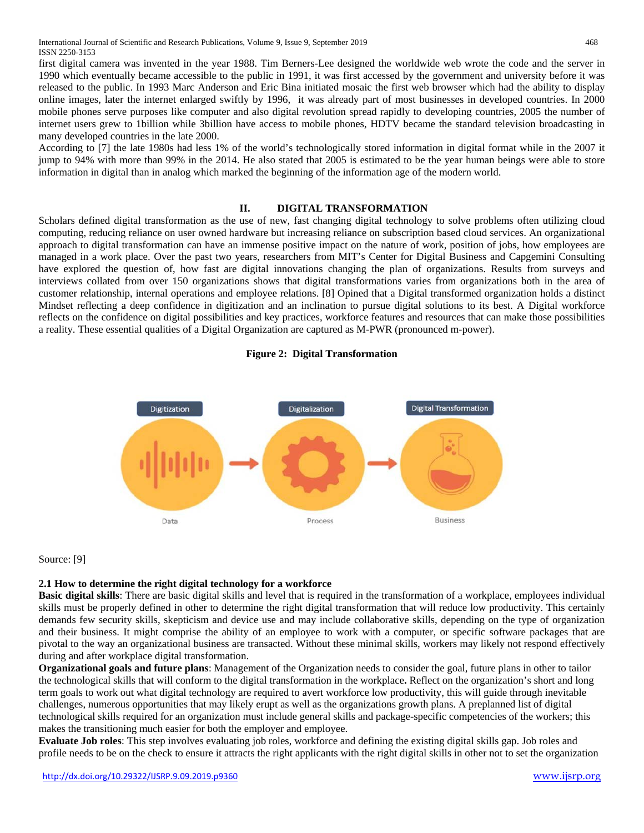first digital camera was invented in the year 1988. Tim Berners-Lee designed the worldwide web wrote the code and the server in 1990 which eventually became accessible to the public in 1991, it was first accessed by the government and university before it was released to the public. In 1993 Marc Anderson and Eric Bina initiated mosaic the first web browser which had the ability to display online images, later the internet enlarged swiftly by 1996, it was already part of most businesses in developed countries. In 2000 mobile phones serve purposes like computer and also digital revolution spread rapidly to developing countries, 2005 the number of internet users grew to 1billion while 3billion have access to mobile phones, HDTV became the standard television broadcasting in many developed countries in the late 2000.

According to [7] the late 1980s had less 1% of the world's technologically stored information in digital format while in the 2007 it jump to 94% with more than 99% in the 2014. He also stated that 2005 is estimated to be the year human beings were able to store information in digital than in analog which marked the beginning of the information age of the modern world.

# **II. DIGITAL TRANSFORMATION**

Scholars defined digital transformation as the use of new, fast changing digital technology to solve problems often utilizing cloud computing, reducing reliance on user owned hardware but increasing reliance on subscription based cloud services. An organizational approach to digital transformation can have an immense positive impact on the nature of work, position of jobs, how employees are managed in a work place. Over the past two years, researchers from MIT's Center for Digital Business and Capgemini Consulting have explored the question of, how fast are digital innovations changing the plan of organizations. Results from surveys and interviews collated from over 150 organizations shows that digital transformations varies from organizations both in the area of customer relationship, internal operations and employee relations. [8] Opined that a Digital transformed organization holds a distinct Mindset reflecting a deep confidence in digitization and an inclination to pursue digital solutions to its best. A Digital workforce reflects on the confidence on digital possibilities and key practices, workforce features and resources that can make those possibilities a reality. These essential qualities of a Digital Organization are captured as M-PWR (pronounced m-power).

# **Figure 2: Digital Transformation**



#### Source: [9]

# **2.1 How to determine the right digital technology for a workforce**

**Basic digital skills**: There are basic digital skills and level that is required in the transformation of a workplace, employees individual skills must be properly defined in other to determine the right digital transformation that will reduce low productivity. This certainly demands few security skills, skepticism and device use and may include collaborative skills, depending on the type of organization and their business. It might comprise the ability of an employee to work with a computer, or specific software packages that are pivotal to the way an organizational business are transacted. Without these minimal skills, workers may likely not respond effectively during and after workplace digital transformation.

**Organizational goals and future plans**: Management of the Organization needs to consider the goal, future plans in other to tailor the technological skills that will conform to the digital transformation in the workplace**.** Reflect on the organization's short and long term goals to work out what digital technology are required to avert workforce low productivity, this will guide through inevitable challenges, numerous opportunities that may likely erupt as well as the organizations growth plans. A preplanned list of digital technological skills required for an organization must include general skills and package-specific competencies of the workers; this makes the transitioning much easier for both the employer and employee.

**Evaluate Job roles**: This step involves evaluating job roles, workforce and defining the existing digital skills gap. Job roles and profile needs to be on the check to ensure it attracts the right applicants with the right digital skills in other not to set the organization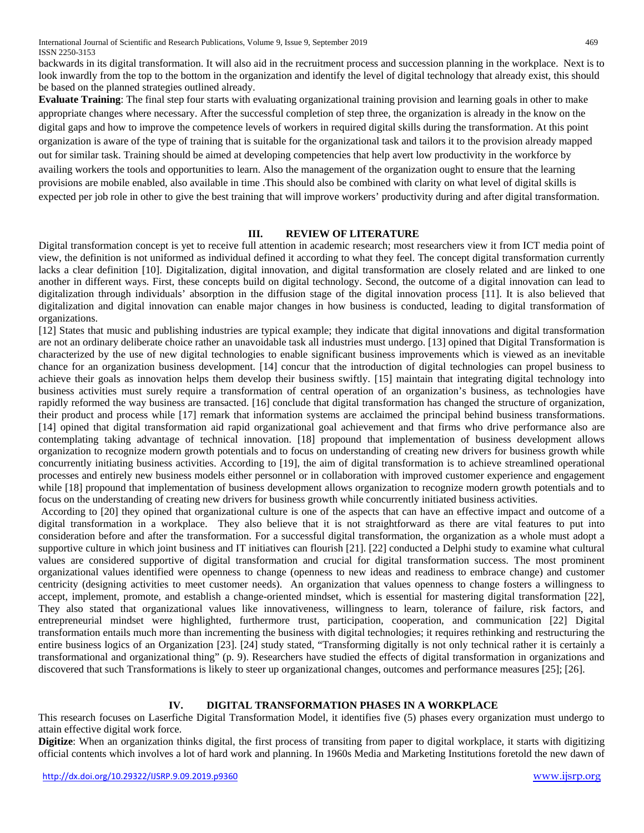backwards in its digital transformation. It will also aid in the recruitment process and succession planning in the workplace. Next is to look inwardly from the top to the bottom in the organization and identify the level of digital technology that already exist, this should be based on the planned strategies outlined already.

**Evaluate Training**: The final step four starts with evaluating organizational training provision and learning goals in other to make appropriate changes where necessary. After the successful completion of step three, the organization is already in the know on the digital gaps and how to improve the competence levels of workers in required digital skills during the transformation. At this point organization is aware of the type of training that is suitable for the organizational task and tailors it to the provision already mapped out for similar task. Training should be aimed at developing competencies that help avert low productivity in the workforce by availing workers the tools and opportunities to learn. Also the management of the organization ought to ensure that the learning provisions are mobile enabled, also available in time .This should also be combined with clarity on what level of digital skills is expected per job role in other to give the best training that will improve workers' productivity during and after digital transformation.

# **III. REVIEW OF LITERATURE**

Digital transformation concept is yet to receive full attention in academic research; most researchers view it from ICT media point of view, the definition is not uniformed as individual defined it according to what they feel. The concept digital transformation currently lacks a clear definition [10]. Digitalization, digital innovation, and digital transformation are closely related and are linked to one another in different ways. First, these concepts build on digital technology. Second, the outcome of a digital innovation can lead to digitalization through individuals' absorption in the diffusion stage of the digital innovation process [11]. It is also believed that digitalization and digital innovation can enable major changes in how business is conducted, leading to digital transformation of organizations.

[12] States that music and publishing industries are typical example; they indicate that digital innovations and digital transformation are not an ordinary deliberate choice rather an unavoidable task all industries must undergo. [13] opined that Digital Transformation is characterized by the use of new digital technologies to enable significant business improvements which is viewed as an inevitable chance for an organization business development. [14] concur that the introduction of digital technologies can propel business to achieve their goals as innovation helps them develop their business swiftly. [15] maintain that integrating digital technology into business activities must surely require a transformation of central operation of an organization's business, as technologies have rapidly reformed the way business are transacted. [16] conclude that digital transformation has changed the structure of organization, their product and process while [17] remark that information systems are acclaimed the principal behind business transformations. [14] opined that digital transformation aid rapid organizational goal achievement and that firms who drive performance also are contemplating taking advantage of technical innovation. [18] propound that implementation of business development allows organization to recognize modern growth potentials and to focus on understanding of creating new drivers for business growth while concurrently initiating business activities. According to [19], the aim of digital transformation is to achieve streamlined operational processes and entirely new business models either personnel or in collaboration with improved customer experience and engagement while [18] propound that implementation of business development allows organization to recognize modern growth potentials and to focus on the understanding of creating new drivers for business growth while concurrently initiated business activities.

According to [20] they opined that organizational culture is one of the aspects that can have an effective impact and outcome of a digital transformation in a workplace. They also believe that it is not straightforward as there are vital features to put into consideration before and after the transformation. For a successful digital transformation, the organization as a whole must adopt a supportive culture in which joint business and IT initiatives can flourish [21]. [22] conducted a Delphi study to examine what cultural values are considered supportive of digital transformation and crucial for digital transformation success. The most prominent organizational values identified were openness to change (openness to new ideas and readiness to embrace change) and customer centricity (designing activities to meet customer needs). An organization that values openness to change fosters a willingness to accept, implement, promote, and establish a change-oriented mindset, which is essential for mastering digital transformation [22], They also stated that organizational values like innovativeness, willingness to learn, tolerance of failure, risk factors, and entrepreneurial mindset were highlighted, furthermore trust, participation, cooperation, and communication [22] Digital transformation entails much more than incrementing the business with digital technologies; it requires rethinking and restructuring the entire business logics of an Organization [23]. [24] study stated, "Transforming digitally is not only technical rather it is certainly a transformational and organizational thing" (p. 9). Researchers have studied the effects of digital transformation in organizations and discovered that such Transformations is likely to steer up organizational changes, outcomes and performance measures [25]; [26].

# **IV. DIGITAL TRANSFORMATION PHASES IN A WORKPLACE**

This research focuses on Laserfiche Digital Transformation Model, it identifies five (5) phases every organization must undergo to attain effective digital work force.

**Digitize**: When an organization thinks digital, the first process of transiting from paper to digital workplace, it starts with digitizing official contents which involves a lot of hard work and planning. In 1960s Media and Marketing Institutions foretold the new dawn of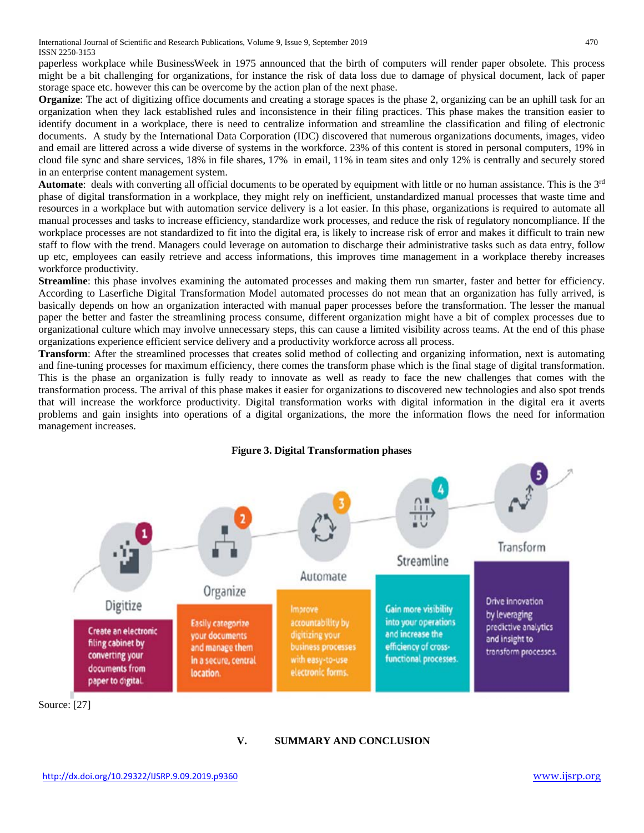paperless workplace while BusinessWeek in 1975 announced that the birth of computers will render paper obsolete. This process might be a bit challenging for organizations, for instance the risk of data loss due to damage of physical document, lack of paper storage space etc. however this can be overcome by the action plan of the next phase.

**Organize**: The act of digitizing office documents and creating a storage spaces is the phase 2, organizing can be an uphill task for an organization when they lack established rules and inconsistence in their filing practices. This phase makes the transition easier to identify document in a workplace, there is need to centralize information and streamline the classification and filing of electronic documents. A study by the International Data Corporation (IDC) discovered that numerous organizations documents, images, video and email are littered across a wide diverse of systems in the workforce. 23% of this content is stored in personal computers, 19% in cloud file sync and share services, 18% in file shares, 17% in email, 11% in team sites and only 12% is centrally and securely stored in an enterprise content management system.

**Automate**: deals with converting all official documents to be operated by equipment with little or no human assistance. This is the 3rd phase of digital transformation in a workplace, they might rely on inefficient, unstandardized manual processes that waste time and resources in a workplace but with automation service delivery is a lot easier. In this phase, organizations is required to automate all manual processes and tasks to increase efficiency, standardize work processes, and reduce the risk of regulatory noncompliance. If the workplace processes are not standardized to fit into the digital era, is likely to increase risk of error and makes it difficult to train new staff to flow with the trend. Managers could leverage on automation to discharge their administrative tasks such as data entry, follow up etc, employees can easily retrieve and access informations, this improves time management in a workplace thereby increases workforce productivity.

**Streamline**: this phase involves examining the automated processes and making them run smarter, faster and better for efficiency. According to Laserfiche Digital Transformation Model automated processes do not mean that an organization has fully arrived, is basically depends on how an organization interacted with manual paper processes before the transformation. The lesser the manual paper the better and faster the streamlining process consume, different organization might have a bit of complex processes due to organizational culture which may involve unnecessary steps, this can cause a limited visibility across teams. At the end of this phase organizations experience efficient service delivery and a productivity workforce across all process.

**Transform**: After the streamlined processes that creates solid method of collecting and organizing information, next is automating and fine-tuning processes for maximum efficiency, there comes the transform phase which is the final stage of digital transformation. This is the phase an organization is fully ready to innovate as well as ready to face the new challenges that comes with the transformation process. The arrival of this phase makes it easier for organizations to discovered new technologies and also spot trends that will increase the workforce productivity. Digital transformation works with digital information in the digital era it averts problems and gain insights into operations of a digital organizations, the more the information flows the need for information management increases.



Source: [27]

# **V. SUMMARY AND CONCLUSION**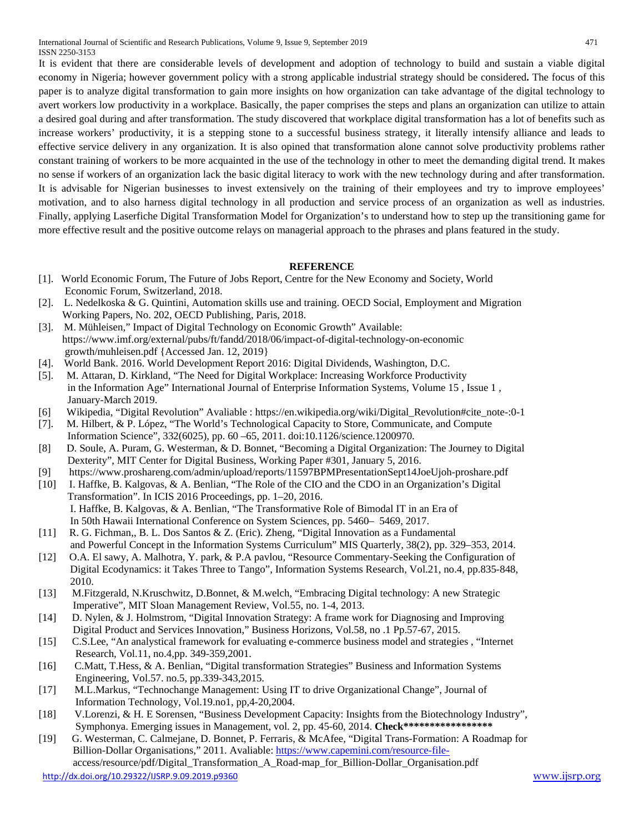International Journal of Scientific and Research Publications, Volume 9, Issue 9, September 2019 471 ISSN 2250-3153

It is evident that there are considerable levels of development and adoption of technology to build and sustain a viable digital economy in Nigeria; however government policy with a strong applicable industrial strategy should be considered**.** The focus of this paper is to analyze digital transformation to gain more insights on how organization can take advantage of the digital technology to avert workers low productivity in a workplace. Basically, the paper comprises the steps and plans an organization can utilize to attain a desired goal during and after transformation. The study discovered that workplace digital transformation has a lot of benefits such as increase workers' productivity, it is a stepping stone to a successful business strategy, it literally intensify alliance and leads to effective service delivery in any organization. It is also opined that transformation alone cannot solve productivity problems rather constant training of workers to be more acquainted in the use of the technology in other to meet the demanding digital trend. It makes no sense if workers of an organization lack the basic digital literacy to work with the new technology during and after transformation. It is advisable for Nigerian businesses to invest extensively on the training of their employees and try to improve employees' motivation, and to also harness digital technology in all production and service process of an organization as well as industries. Finally, applying Laserfiche Digital Transformation Model for Organization's to understand how to step up the transitioning game for more effective result and the positive outcome relays on managerial approach to the phrases and plans featured in the study.

# **REFERENCE**

- [1]. World Economic Forum, The Future of Jobs Report, Centre for the New Economy and Society, World Economic Forum, Switzerland, 2018.
- [2]. L. Nedelkoska & G. Quintini, Automation skills use and training. OECD Social, Employment and Migration Working Papers, No. 202, OECD Publishing, Paris, 2018.
- [3]. M. Mühleisen," Impact of Digital Technology on Economic Growth" Available: <https://www.imf.org/external/pubs/ft/fandd/2018/06/impact-of-digital-technology-on-economic> growth/muhleisen.pdf {Accessed Jan. 12, 2019}
- [4]. World Bank. 2016. World Development Report 2016: Digital Dividends, Washington, D.C.
- [5]. M. Attaran, D. Kirkland, "The Need for Digital Workplace: Increasing Workforce Productivity in the Information Age" International Journal of Enterprise Information Systems, Volume 15 , Issue 1 , January-March 2019.
- [6] Wikipedia, "Digital Revolution" Avaliable : https://en.wikipedia.org/wiki/Digital\_Revolution#cite\_note-:0-1
- [7]. M. Hilbert, & P. López, "The World's Technological Capacity to Store, Communicate, and Compute Information Science", 332(6025), pp. 60 –65, 2011. doi:10.1126/science.1200970.
- [8] D. Soule, A. Puram, G. Westerman, & D. Bonnet, "Becoming a Digital Organization: The Journey to Digital Dexterity", MIT Center for Digital Business, Working Paper #301, January 5, 2016.
- [9] https://www.proshareng.com/admin/upload/reports/11597BPMPresentationSept14JoeUjoh-proshare.pdf
- [10] I. Haffke, B. Kalgovas, & A. Benlian, "The Role of the CIO and the CDO in an Organization's Digital Transformation". In ICIS 2016 Proceedings, pp. 1–20, 2016. I. Haffke, B. Kalgovas, & A. Benlian, "The Transformative Role of Bimodal IT in an Era of In 50th Hawaii International Conference on System Sciences, pp. 5460– 5469, 2017.
- [11] R. G. Fichman,, B. L. Dos Santos & Z. (Eric). Zheng, "Digital Innovation as a Fundamental and Powerful Concept in the Information Systems Curriculum" MIS Quarterly, 38(2), pp. 329–353, 2014.
- [12] O.A. El sawy, A. Malhotra, Y. park, & P.A pavlou, "Resource Commentary-Seeking the Configuration of Digital Ecodynamics: it Takes Three to Tango", Information Systems Research, Vol.21, no.4, pp.835-848, 2010.
- [13] M.Fitzgerald, N.Kruschwitz, D.Bonnet, & M.welch, "Embracing Digital technology: A new Strategic Imperative", MIT Sloan Management Review, Vol.55, no. 1-4, 2013.
- [14] D. Nylen, & J. Holmstrom, "Digital Innovation Strategy: A frame work for Diagnosing and Improving Digital Product and Services Innovation," Business Horizons, Vol.58, no .1 Pp.57-67, 2015.
- [15] C.S.Lee, "An analystical framework for evaluating e-commerce business model and strategies , "Internet Research, Vol.11, no.4,pp. 349-359,2001.
- [16] C.Matt, T.Hess, & A. Benlian, "Digital transformation Strategies" Business and Information Systems Engineering, Vol.57. no.5, pp.339-343,2015.
- [17] M.L.Markus, "Technochange Management: Using IT to drive Organizational Change", Journal of Information Technology, Vol.19.no1, pp,4-20,2004.
- [18] V.Lorenzi, & H. E Sorensen, "Business Development Capacity: Insights from the Biotechnology Industry", Symphonya. Emerging issues in Management, vol. 2, pp. 45-60, 2014. Check\*\*\*\*\*\*\*\*\*\*\*\*\*\*\*\*
- [19] G. Westerman, C. Calmejane, D. Bonnet, P. Ferraris, & McAfee, "Digital Trans-Formation: A Roadmap for Billion-Dollar Organisations," 2011. Avaliable[: https://www.capemini.com/resource-file-](https://www.capemini.com/resource-file-)

<http://dx.doi.org/10.29322/IJSRP.9.09.2019.p9360> [www.ijsrp.org](http://ijsrp.org/) access/resource/pdf/Digital\_Transformation\_A\_Road-map\_for\_Billion-Dollar\_Organisation.pdf